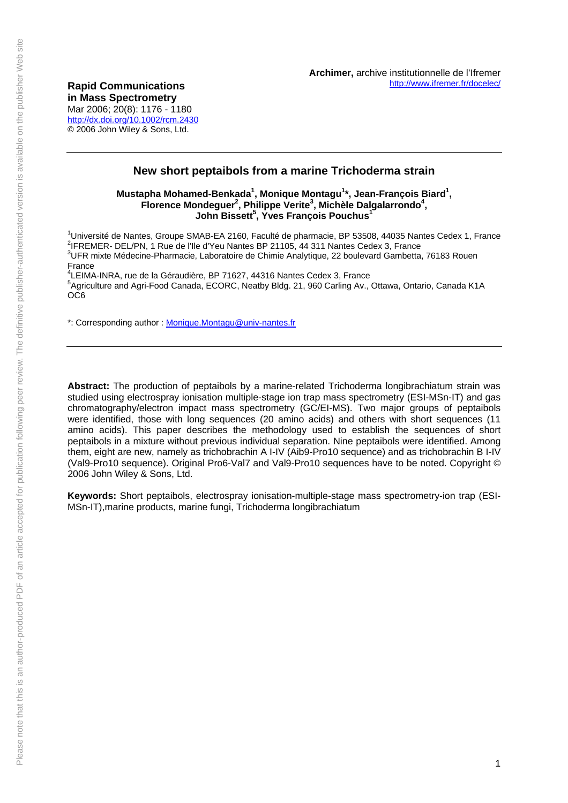Mar 2006; 20(8): 1176 - 1180 <http://dx.doi.org/10.1002/rcm.2430> © 2006 John Wiley & Sons, Ltd.

# **New short peptaibols from a marine Trichoderma strain**

## Mustapha Mohamed-Benkada<sup>1</sup>, Monique Montagu<sup>1</sup>\*, Jean-François Biard<sup>1</sup>, Florence Mondeguer<sup>2</sup>, Philippe Verite<sup>3</sup>, Michèle Dalgalarrondo<sup>4</sup>, **John Bissett5 , Yves François Pouchus<sup>1</sup>**

<sup>1</sup>Université de Nantes, Groupe SMAB-EA 2160, Faculté de pharmacie, BP 53508, 44035 Nantes Cedex 1, France<br><sup>2</sup>IEREMER, DEL (DN. 4 Bus de <sup>l'Ill</sup>e d'You Nantes BB 21105, 44.211 Nantes Cedex 2, France <sup>2</sup>IFREMER- DEL/PN, 1 Rue de l'Ile d'Yeu Nantes BP 21105, 44 311 Nantes Cedex 3, France <sup>3</sup>UFR mixte Médecine-Pharmacie, Laboratoire de Chimie Analytique, 22 boulevard Gambetta, 76183 Rouen France

<sup>4</sup>LEIMA-INRA, rue de la Géraudière, BP 71627, 44316 Nantes Cedex 3, France<br><sup>5</sup>Agriculture and Agri Easd Canade, ECOBC, Nosthy Pldg, 21, 060 Cerling Av <sup>5</sup> Agriculture and Agri-Food Canada, ECORC, Neatby Bldg. 21, 960 Carling Av., Ottawa, Ontario, Canada K1A OC6

\*: Corresponding author : [Monique.Montagu@univ-nantes.fr](mailto:Monique.Montagu@univ-nantes.fr)

**Abstract:** The production of peptaibols by a marine-related Trichoderma longibrachiatum strain was studied using electrospray ionisation multiple-stage ion trap mass spectrometry (ESI-MSn-IT) and gas chromatography/electron impact mass spectrometry (GC/EI-MS). Two major groups of peptaibols were identified, those with long sequences (20 amino acids) and others with short sequences (11 amino acids). This paper describes the methodology used to establish the sequences of short peptaibols in a mixture without previous individual separation. Nine peptaibols were identified. Among them, eight are new, namely as trichobrachin A I-IV (Aib9-Pro10 sequence) and as trichobrachin B I-IV (Val9-Pro10 sequence). Original Pro6-Val7 and Val9-Pro10 sequences have to be noted. Copyright © 2006 John Wiley & Sons, Ltd.

**Keywords:** Short peptaibols, electrospray ionisation-multiple-stage mass spectrometry-ion trap (ESI-MSn-IT),marine products, marine fungi, Trichoderma longibrachiatum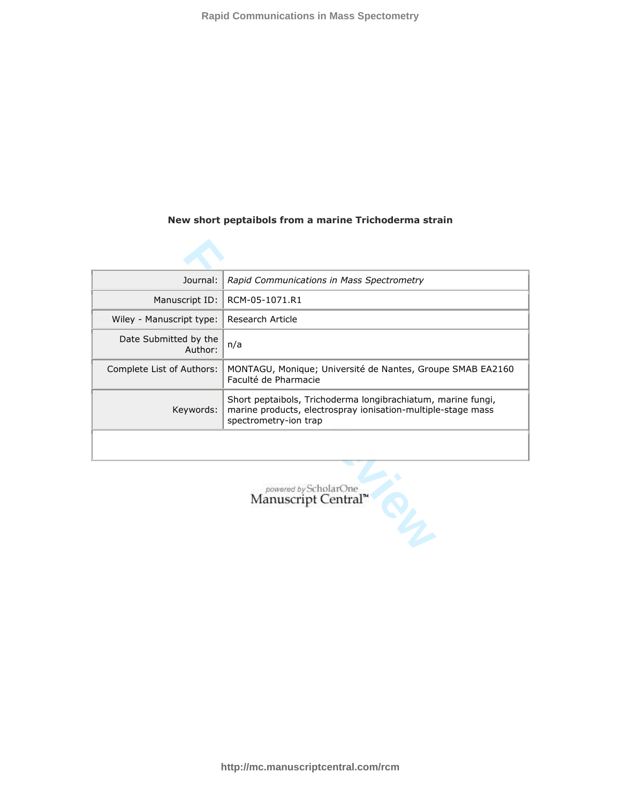## **New short peptaibols from a marine Trichoderma strain**

| Journal:                         | Rapid Communications in Mass Spectrometry                                                                                                             |  |  |  |  |  |  |  |
|----------------------------------|-------------------------------------------------------------------------------------------------------------------------------------------------------|--|--|--|--|--|--|--|
| Manuscript ID:                   | RCM-05-1071.R1                                                                                                                                        |  |  |  |  |  |  |  |
| Wiley - Manuscript type:         | Research Article                                                                                                                                      |  |  |  |  |  |  |  |
| Date Submitted by the<br>Author: | n/a                                                                                                                                                   |  |  |  |  |  |  |  |
| Complete List of Authors:        | MONTAGU, Monique; Université de Nantes, Groupe SMAB EA2160<br>Faculté de Pharmacie                                                                    |  |  |  |  |  |  |  |
| Keywords:                        | Short peptaibols, Trichoderma longibrachiatum, marine fungi,<br>marine products, electrospray ionisation-multiple-stage mass<br>spectrometry-ion trap |  |  |  |  |  |  |  |
|                                  |                                                                                                                                                       |  |  |  |  |  |  |  |
|                                  | powered by ScholarOne<br>Manuscript Central <sup>n</sup>                                                                                              |  |  |  |  |  |  |  |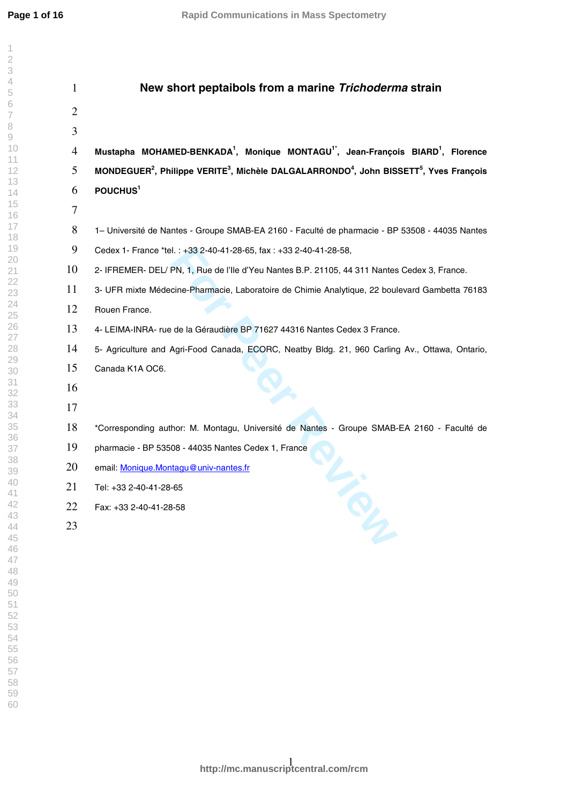$\overline{\phantom{a}}$  $\overline{2}$  $\overline{3}$  $\overline{4}$ 5 6  $\overline{7}$ 8  $\rm{O}$ 

| $\mathbf{1}$   | New short peptaibols from a marine Trichoderma strain                                                                                  |
|----------------|----------------------------------------------------------------------------------------------------------------------------------------|
| $\overline{2}$ |                                                                                                                                        |
| 3              |                                                                                                                                        |
| $\overline{4}$ | Mustapha MOHAMED-BENKADA <sup>1</sup> , Monique MONTAGU <sup>1*</sup> , Jean-François BIARD <sup>1</sup> , Florence                    |
| 5              | MONDEGUER <sup>2</sup> , Philippe VERITE <sup>3</sup> , Michèle DALGALARRONDO <sup>4</sup> , John BISSETT <sup>5</sup> , Yves François |
| 6              | POUCHUS <sup>1</sup>                                                                                                                   |
| 7              |                                                                                                                                        |
| 8              | 1– Université de Nantes - Groupe SMAB-EA 2160 - Faculté de pharmacie - BP 53508 - 44035 Nantes                                         |
| 9              | Cedex 1- France *tel.: +33 2-40-41-28-65, fax: +33 2-40-41-28-58,                                                                      |
| 10             | 2- IFREMER- DEL/ PN, 1, Rue de l'Ile d'Yeu Nantes B.P. 21105, 44 311 Nantes Cedex 3, France.                                           |
| 11             | 3- UFR mixte Médecine-Pharmacie, Laboratoire de Chimie Analytique, 22 boulevard Gambetta 76183                                         |
| 12             | Rouen France.                                                                                                                          |
| 13             | 4- LEIMA-INRA- rue de la Géraudière BP 71627 44316 Nantes Cedex 3 France.                                                              |
| 14             | 5- Agriculture and Agri-Food Canada, ECORC, Neatby Bldg. 21, 960 Carling Av., Ottawa, Ontario,                                         |
| 15             | Canada K1A OC6.                                                                                                                        |
| 16             |                                                                                                                                        |
| 17             |                                                                                                                                        |
| 18             | *Corresponding author: M. Montagu, Université de Nantes - Groupe SMAB-EA 2160 - Faculté de                                             |
| 19             | pharmacie - BP 53508 - 44035 Nantes Cedex 1, France                                                                                    |
| 20             | email: Monique.Montagu@univ-nantes.fr                                                                                                  |
| 21             | Tel: +33 2-40-41-28-65                                                                                                                 |
| 22             | TON<br>Fax: +33 2-40-41-28-58                                                                                                          |
| 23             |                                                                                                                                        |
|                |                                                                                                                                        |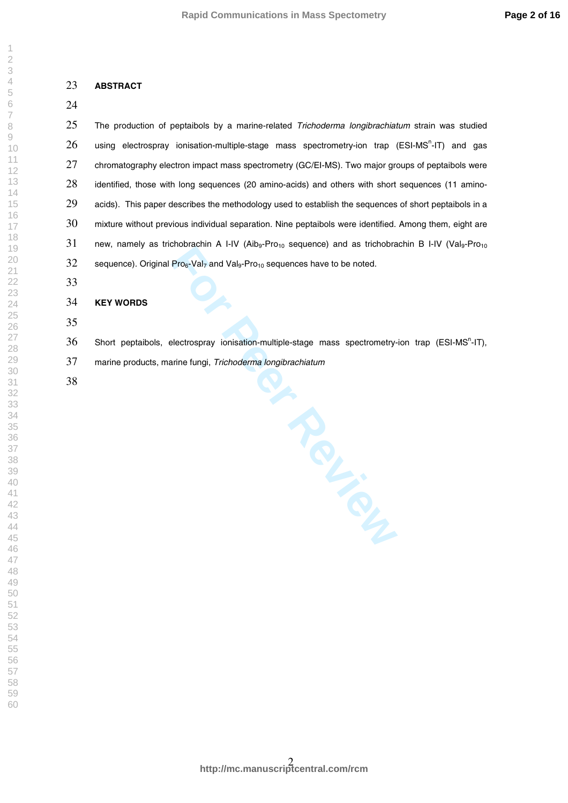## **ABSTRACT**

 The production of peptaibols by a marine-related Trichoderma longibrachiatum strain was studied using electrospray ionisation-multiple-stage mass spectrometry-ion trap (ESI-MS<sup>n</sup>-IT) and gas 27 chromatography electron impact mass spectrometry (GC/EI-MS). Two major groups of peptaibols were 28 identified, those with long sequences (20 amino-acids) and others with short sequences (11 amino- acids). This paper describes the methodology used to establish the sequences of short peptaibols in a 30 mixture without previous individual separation. Nine peptaibols were identified. Among them, eight are 31 new, namely as trichobrachin A I-IV (Aib<sub>9</sub>-Pro<sub>10</sub> sequence) and as trichobrachin B I-IV (Val<sub>9</sub>-Pro<sub>10</sub> 32 sequence). Original Pro $_6$ -Val<sub>7</sub> and Val<sub>9</sub>-Pro<sub>10</sub> sequences have to be noted.

### **KEY WORDS**

Short peptaibols, electrospray ionisation-multiple-stage mass spectrometry-ion trap (ESI-MS<sup>n</sup>-IT),

marine products, marine fungi, Trichoderma longibrachiatum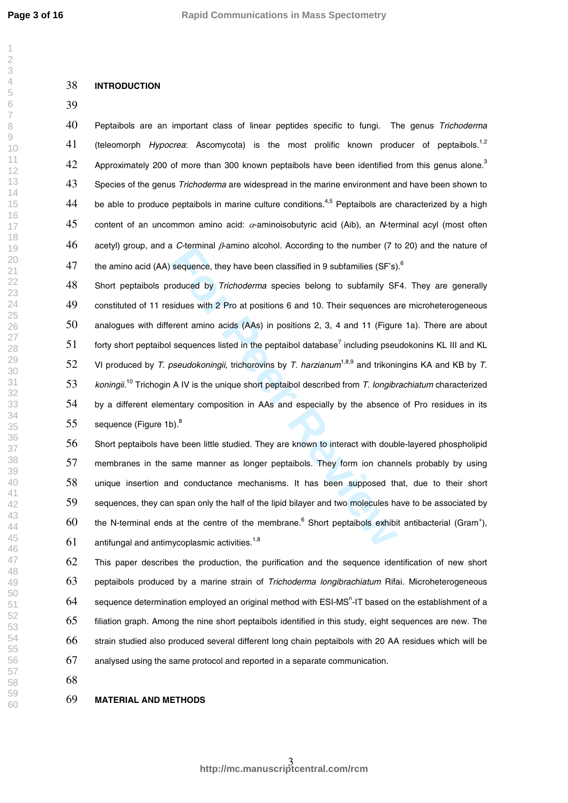$\overline{1}$ 

#### **INTRODUCTION**

 Peptaibols are an important class of linear peptides specific to fungi. The genus Trichoderma (teleomorph *Hypocrea*: Ascomycota) is the most prolific known producer of peptaibols.<sup>1,2</sup> Approximately 200 of more than 300 known peptaibols have been identified from this genus alone.<sup>3</sup> 43 Species of the genus *Trichoderma* are widespread in the marine environment and have been shown to 44 be able to produce peptaibols in marine culture conditions.<sup>4,5</sup> Peptaibols are characterized by a high 45 content of an uncommon amino acid:  $\alpha$ -aminoisobutyric acid (Aib), an N-terminal acyl (most often 46 acetyl) group, and a C-terminal  $\beta$ -amino alcohol. According to the number (7 to 20) and the nature of the amino acid (AA) sequence, they have been classified in 9 subfamilies (SF's).<sup>6</sup>

**Formal distribution** *Fromala Dealth in the particular pearline is (F's)* sequence, they have been classified in 9 subfamilies (SF's) oduced by *Trichoderma* species belong to subfamily SF sidues with 2 Pro at positions 6 48 Short peptaibols produced by Trichoderma species belong to subfamily SF4. They are generally constituted of 11 residues with 2 Pro at positions 6 and 10. Their sequences are microheterogeneous analogues with different amino acids (AAs) in positions 2, 3, 4 and 11 (Figure 1a). There are about forty short peptaibol sequences listed in the peptaibol database<sup>7</sup> including pseudokonins KL III and KL 52 VI produced by T. pseudokoningii, trichorovins by T. harzianum<sup>1,8,9</sup> and trikoningins KA and KB by T. 53 koningii.<sup>10</sup> Trichogin A IV is the unique short peptaibol described from T. longibrachiatum characterized 54 by a different elementary composition in AAs and especially by the absence of Pro residues in its sequence (Figure 1b). $^8$ 

 Short peptaibols have been little studied. They are known to interact with double-layered phospholipid membranes in the same manner as longer peptaibols. They form ion channels probably by using unique insertion and conductance mechanisms. It has been supposed that, due to their short sequences, they can span only the half of the lipid bilayer and two molecules have to be associated by the N-terminal ends at the centre of the membrane.<sup>6</sup> Short peptaibols exhibit antibacterial (Gram<sup>+</sup>), antifungal and antimycoplasmic activities.<sup>1,8</sup>

 This paper describes the production, the purification and the sequence identification of new short peptaibols produced by a marine strain of Trichoderma longibrachiatum Rifai. Microheterogeneous 64 sequence determination employed an original method with ESI-MS<sup>n</sup>-IT based on the establishment of a filiation graph. Among the nine short peptaibols identified in this study, eight sequences are new. The strain studied also produced several different long chain peptaibols with 20 AA residues which will be analysed using the same protocol and reported in a separate communication.

### **MATERIAL AND METHODS**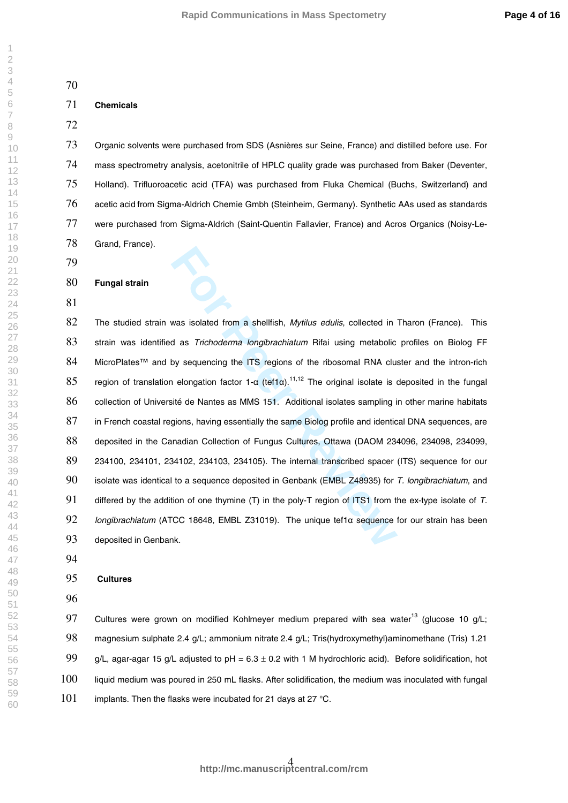## **Chemicals**

 Organic solvents were purchased from SDS (Asnières sur Seine, France) and distilled before use. For mass spectrometry analysis, acetonitrile of HPLC quality grade was purchased from Baker (Deventer, Holland). Trifluoroacetic acid (TFA) was purchased from Fluka Chemical (Buchs, Switzerland) and 76 acetic acid from Sigma-Aldrich Chemie Gmbh (Steinheim, Germany). Synthetic AAs used as standards 77 were purchased from Sigma-Aldrich (Saint-Quentin Fallavier, France) and Acros Organics (Noisy-Le-Grand, France).

# **Fungal strain**

was isolated from a shellfish, *Mytilus edulis*, collected in d as *Trichoderma longibrachiatum* Rifai using metabolic by sequencing the ITS regions of the ribosomal RNA clust a leongation factor 1-a (tef1a).<sup>11,12</sup> The or 82 The studied strain was isolated from a shellfish, Mytilus edulis, collected in Tharon (France). This 83 strain was identified as Trichoderma longibrachiatum Rifai using metabolic profiles on Biolog FF 84 MicroPlates™ and by sequencing the ITS regions of the ribosomal RNA cluster and the intron-rich 85 region of translation elongation factor 1- $\alpha$  (tef1 $\alpha$ ).<sup>11,12</sup> The original isolate is deposited in the fungal collection of Université de Nantes as MMS 151. Additional isolates sampling in other marine habitats in French coastal regions, having essentially the same Biolog profile and identical DNA sequences, are deposited in the Canadian Collection of Fungus Cultures, Ottawa (DAOM 234096, 234098, 234099, 234100, 234101, 234102, 234103, 234105). The internal transcribed spacer (ITS) sequence for our 90 isolate was identical to a sequence deposited in Genbank (EMBL Z48935) for T. longibrachiatum, and 91 differed by the addition of one thymine (T) in the poly-T region of ITS1 from the ex-type isolate of  $T$ . 92 Iongibrachiatum (ATCC 18648, EMBL Z31019). The unique tef1a sequence for our strain has been deposited in Genbank.

#### **Cultures**

97 Cultures were grown on modified Kohlmeyer medium prepared with sea water<sup>13</sup> (glucose 10 g/L; magnesium sulphate 2.4 g/L; ammonium nitrate 2.4 g/L; Tris(hydroxymethyl)aminomethane (Tris) 1.21 99 g/L, agar-agar 15 g/L adjusted to pH =  $6.3 \pm 0.2$  with 1 M hydrochloric acid). Before solidification, hot liquid medium was poured in 250 mL flasks. After solidification, the medium was inoculated with fungal implants. Then the flasks were incubated for 21 days at 27 °C.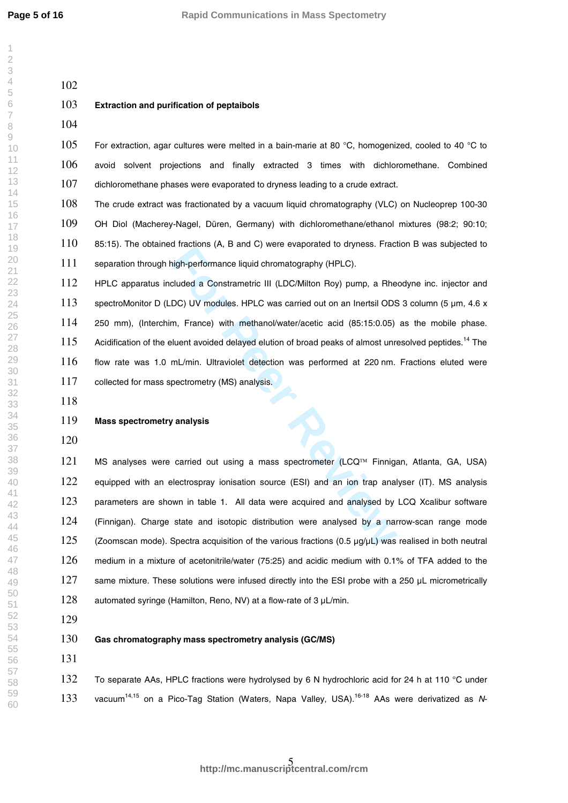$\overline{\phantom{a}}$ 

For Performance liquid chromatography (HPLC).<br> **For Performance liquid chromatography (HPLC).**<br> **For PEOS** UV modules. HPLC was carried out on an Inertsil ODS<br> **For PEOS** UV modules. HPLC was carried out on an Inertsil ODS **Extraction and purification of peptaibols** 105 For extraction, agar cultures were melted in a bain-marie at 80 °C, homogenized, cooled to 40 °C to avoid solvent projections and finally extracted 3 times with dichloromethane. Combined 107 dichloromethane phases were evaporated to dryness leading to a crude extract. The crude extract was fractionated by a vacuum liquid chromatography (VLC) on Nucleoprep 100 -30 OH Diol (Macherey -Nagel, Düren, Germany) with dichloromethane/ethanol mixtures (98:2; 90:10; 85:15). The obtained fractions (A, B and C) were evaporated to dryness. Fraction B was subjected to separation through high -performance liquid chromatography (HPLC). HPLC apparatus included a Constrametric III (LDC/Milton Roy) pump, a Rheodyne inc. injector and 113 spectroMonitor D (LDC) UV modules. HPLC was carried out on an Inertsil ODS 3 column (5 um, 4.6 x 250 mm), (Interchim, France) with methanol/water/acetic acid (85:15:0.05) as the mobile phase. 115 Acidification of the eluent avoided delayed elution of broad peaks of almost unresolved peptides.<sup>14</sup> The flow rate was 1.0 mL/min. Ultraviolet detection was performed at 220 nm. Fractions eluted were 117 collected for mass spectrometry (MS) analysis. **Mass spectrometry analysis** 121 MS analyses were carried out using a mass spectrometer (LCQ™ Finnigan, Atlanta, GA, USA) 122 equipped with an electrospray ionisation source (ESI) and an ion trap analyser (IT). MS analysis parameters are shown in table 1. All data were acquired and analysed by LCQ Xcalibur software 124 (Finnigan). Charge state and isotopic distribution were analysed by a narrow-scan range mode (Zoomscan mode). Spectra acquisition of the various fractions (0.5 µg/µL) was realised in both neutral medium in a mixture of acetonitrile/water (75:25) and acidic medium with 0.1% of TFA added to the 127 same mixture. These solutions were infused directly into the ESI probe with a 250 uL micrometrically

128 automated syringe (Hamilton, Reno, NV) at a flow-rate of 3 µL/min.

**Gas chromatography mass spectrometry analysis (GC/MS)**

132 To separate AAs, HPLC fractions were hydrolysed by 6 N hydrochloric acid for 24 h at 110 °C under 133 vacuum<sup>14,15</sup> on a Pico-Tag Station (Waters, Napa Valley, USA).<sup>16-18</sup> AAs were derivatized as N-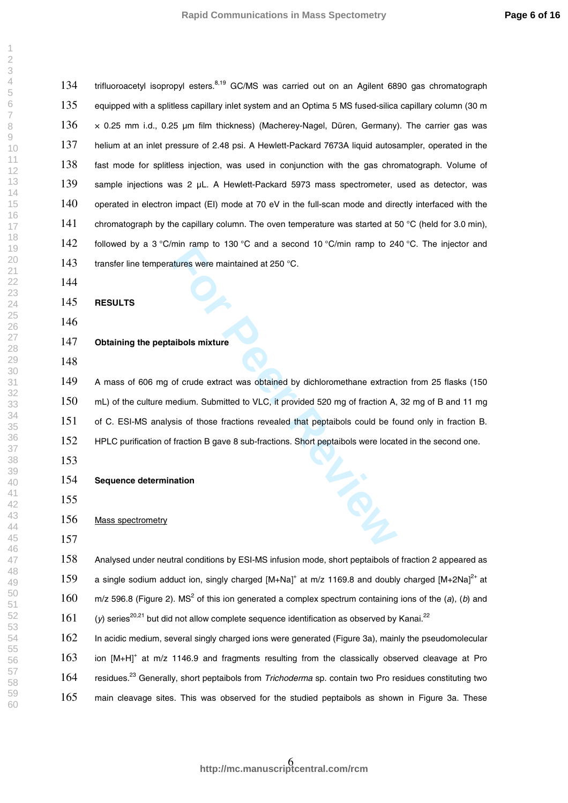134 trifluoroacetyl isopropyl esters.<sup>8,19</sup> GC/MS was carried out on an Agilent 6890 gas chromatograph 135 equipped with a splitless capillary inlet system and an Optima 5 MS fused-silica capillary column (30 m 136 x 0.25 mm i.d., 0.25 µm film thickness) (Macherey-Nagel, Düren, Germany). The carrier gas was helium at an inlet pressure of 2.48 psi. A Hewlett -Packard 7673A liquid autosampler, operated in the fast mode for splitless injection, was used in conjunction with the gas chromatograph. Volume of 139 sample injections was 2 µL. A Hewlett-Packard 5973 mass spectrometer, used as detector, was 140 operated in electron impact (EI) mode at 70 eV in the full-scan mode and directly interfaced with the 141 chromatograph by the capillary column. The oven temperature was started at 50 °C (held for 3.0 min), 142 followed by a 3 °C/min ramp to 130 °C and a second 10 °C/min ramp to 240 °C. The injector and 143 transfer line temperatures were maintained at 250 °C.

**RESULTS** 

# **Obtaining the peptaibols mixture**

For Persons Terms in the Section of Section 1.5 Section 1.5 Section 1.6 Section 1.6 Sections were maintained at 250 °C.<br> **For Persons Sections 2.50** °C.<br> **For Persons 2.50** °C.<br> **For Persons 2.50** °C.<br> **For Persons 2.50** ° A mass of 606 mg of crude extract was obtained by dichloromethane extraction from 25 flasks (150 mL) of the culture medium. Submitted to VLC, it provided 520 mg of fraction A, 32 mg of B and 11 mg of C. ESI -MS analysis of those fractions revealed that peptaibols could be found only in fraction B. 152 HPLC purification of fraction B gave 8 sub-fractions. Short peptaibols were located in the second one.

# **Sequence determination**

# Mass spectrometry

 Analysed under neutral conditions by ESI -MS infusion mode, short peptaibols of fraction 2 appeared as 159 a single sodium adduct ion, singly charged  $[M+Na]^+$  at m/z 1169.8 and doubly charged  $[M+2Na]^{2+}$  at m/z 596.8 (Figure 2). MS<sup>2</sup> of this ion generated a complex spectrum containing ions of the (a), (b) and (y) series<sup>20,21</sup> but did not allow complete sequence identification as observed by Kanai.<sup>22</sup>

 In acidic medium, several singly charged ions were generated (Figure 3a), mainly the pseudomolecular 163 ion [M+H]<sup>+</sup> at m/z 1146.9 and fragments resulting from the classically observed cleavage at Pro 164 residues.<sup>23</sup> Generally, short peptaibols from Trichoderma sp. contain two Pro residues constituting two main cleavage sites. This was observed for the studied peptaibols as shown in Figure 3a. These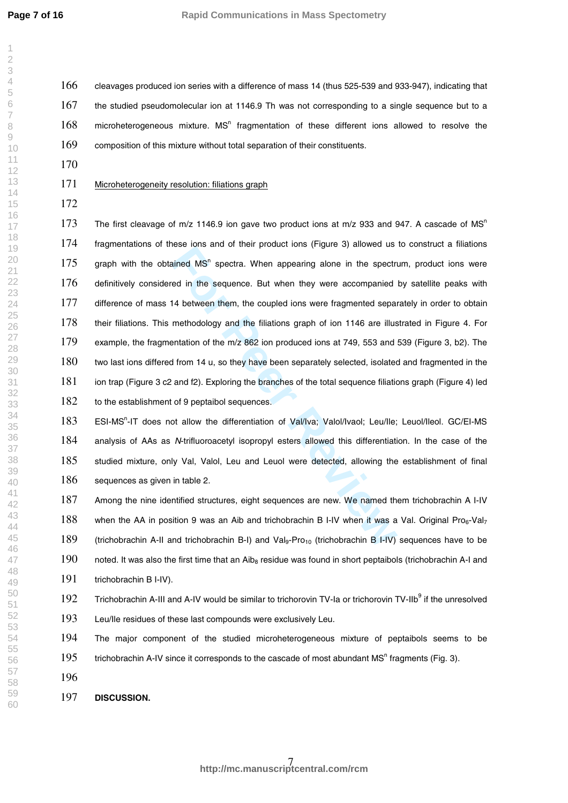$\overline{\phantom{a}}$ 

 cleavages produced ion series with a difference of mass 14 (thus 525 -539 and 933 -947), indicating that 167 the studied pseudomolecular ion at 1146.9 Th was not corresponding to a single sequence but to a 168 microheterogeneous mixture. MS<sup>n</sup> fragmentation of these different ions allowed to resolve the composition of this mixture without total separation of their constituents.

## Microheterogeneity resolution: filiations graph

For Principle of their product folls (Figure d) alternated as<br>ained MS<sup>n</sup> spectra. When appearing alone in the spectr<br>ed in the sequence. But when they were accompanied<br>4 between them, the coupled ions were fragmented sepa 173 The first cleavage of m/z 1146.9 ion gave two product ions at m/z 933 and 947. A cascade of MS<sup>n</sup> fragmentations of these ions and of their product ions (Figure 3) allowed us to construct a filiations 175 graph with the obtained  $MS<sup>n</sup>$  spectra. When appearing alone in the spectrum, product ions were 176 definitively considered in the sequence. But when they were accompanied by satellite peaks with difference of mass 14 between them, the coupled ions were fragmented separately in order to obtain their filiations. This methodology and the filiations graph of ion 1146 are illustrated in Figure 4. For example, the fragmentation of the m/z 862 ion produced ions at 749, 553 and 539 (Figure 3, b2). The two last ions differed from 14 u, so they have been separately selected, isolated and fragmented in the ion trap (Figure 3 c2 and f2). Exploring the branches of the total sequence filiations graph (Figure 4) led 182 to the establishment of 9 peptaibol sequences.

183 ESI-MS<sup>n</sup>-IT does not allow the differentiation of Val/Iva; Valol/Ivaol; Leu/Ile; Leuol/Ileol. GC/EI-MS 184 analysis of AAs as N-trifluoroacetyl isopropyl esters allowed this differentiation. In the case of the studied mixture, only Val, Valol, Leu and Leuol were detected, allowing the establishment of final 186 sequences as given in table 2.

187 Among the nine identified structures, eight sequences are new. We named them trichobrachin A I-IV 188 when the AA in position 9 was an Aib and trichobrachin B I-IV when it was a Val. Original Pro6-Val<sub>7</sub> 189 (trichobrachin A-II and trichobrachin B-I) and Val<sub>9</sub>-Pro<sub>10</sub> (trichobrachin B I-IV) sequences have to be 190 noted. It was also the first time that an Aib<sub>8</sub> residue was found in short peptaibols (trichobrachin A-I and trichobrachin B I -IV).

192 Trichobrachin A-III and A-IV would be similar to trichorovin TV-la or trichorovin TV-IIb<sup>9</sup> if the unresolved

Leu/Ile residues of these last compounds were exclusively Leu.

 The major component of the studied microheterogeneous mixture of peptaibols seems to be 195 trichobrachin A-IV since it corresponds to the cascade of most abundant MS<sup>n</sup> fragments (Fig. 3).

**DISCUSSION .**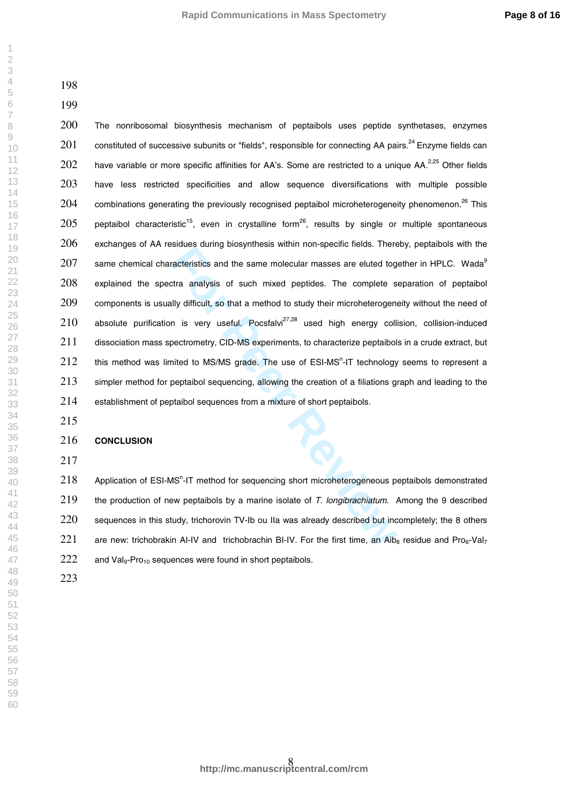$\overline{\phantom{a}}$  $\overline{2}$  $\overline{4}$  $\overline{7}$  $\mathcal{G}$ 

Fracteristics and the same molecular masses are eluted tog<br>traanalysis of such mixed peptides. The complete state analysis of such mixed peptides. The complete s<br>illy difficult, so that a method to study their microheterog The nonribosomal biosynthesis mechanism of peptaibols uses peptide synthetases, enzymes constituted of successive subunits or "fields", responsible for connecting AA pairs.<sup>24</sup> Enzyme fields can 202 have variable or more specific affinities for AA's. Some are restricted to a unique AA.<sup>2,25</sup> Other fields 203 have less restricted specificities and allow sequence diversifications with multiple possible combinations generating the previously recognised peptaibol microheterogeneity phenomenon.<sup>26</sup> This peptaibol characteristic<sup>15</sup>, even in crystalline form<sup>26</sup>, results by single or multiple spontaneous exchanges of AA residues during biosynthesis within non-specific fields. Thereby, peptaibols with the same chemical characteristics and the same molecular masses are eluted together in HPLC. Wada<sup>9</sup> explained the spectra analysis of such mixed peptides. The complete separation of peptaibol 209 components is usually difficult, so that a method to study their microheterogeneity without the need of absolute purification is very useful. Pocsfalvi<sup>27,28</sup> used high energy collision, collision-induced dissociation mass spectrometry, CID-MS experiments, to characterize peptaibols in a crude extract, but this method was limited to MS/MS grade. The use of ESI-MS<sup>n</sup>-IT technology seems to represent a simpler method for peptaibol sequencing, allowing the creation of a filiations graph and leading to the 214 establishment of peptaibol sequences from a mixture of short peptaibols.

### **CONCLUSION**

218 Application of ESI-MS<sup>n</sup>-IT method for sequencing short microheterogeneous peptaibols demonstrated the production of new peptaibols by a marine isolate of T. longibrachiatum. Among the 9 described sequences in this study, trichorovin TV-Ib ou IIa was already described but incompletely; the 8 others 221 are new: trichobrakin AI-IV and trichobrachin BI-IV. For the first time, an Aib<sub>8</sub> residue and Pro<sub>6</sub>-Val<sub>7</sub> and Val<sub>9</sub>-Pro<sub>10</sub> sequences were found in short peptaibols.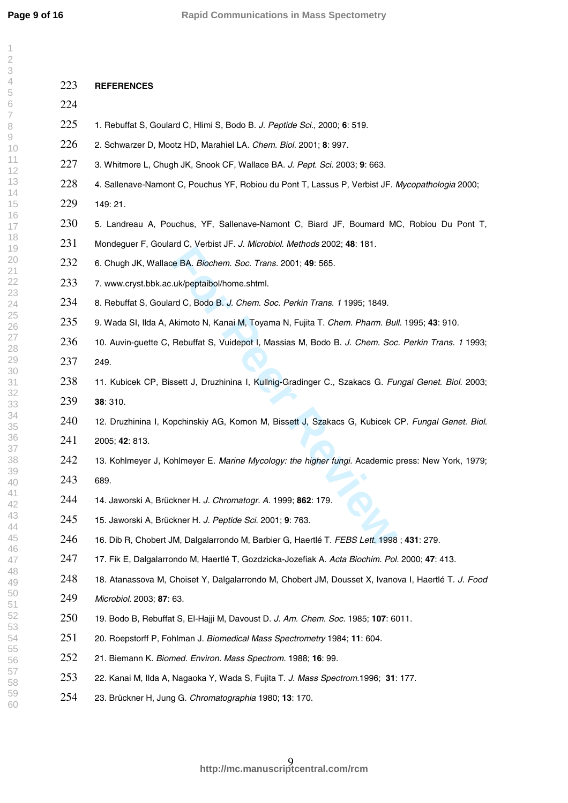$\overline{1}$  $\overline{2}$  $\overline{4}$  $\overline{7}$  $\rm{O}$ 

| 223 | <b>REFERENCES</b>                                                                                   |
|-----|-----------------------------------------------------------------------------------------------------|
| 224 |                                                                                                     |
| 225 | 1. Rebuffat S, Goulard C, Hlimi S, Bodo B. J. Peptide Sci., 2000; 6: 519.                           |
| 226 | 2. Schwarzer D, Mootz HD, Marahiel LA. Chem. Biol. 2001; 8: 997.                                    |
| 227 | 3. Whitmore L, Chugh JK, Snook CF, Wallace BA. J. Pept. Sci. 2003; 9: 663.                          |
| 228 | 4. Sallenave-Namont C, Pouchus YF, Robiou du Pont T, Lassus P, Verbist JF. Mycopathologia 2000;     |
| 229 | 149:21.                                                                                             |
| 230 | 5. Landreau A, Pouchus, YF, Sallenave-Namont C, Biard JF, Boumard MC, Robiou Du Pont T,             |
| 231 | Mondeguer F, Goulard C, Verbist JF. J. Microbiol. Methods 2002; 48: 181.                            |
| 232 | 6. Chugh JK, Wallace BA. Biochem. Soc. Trans. 2001; 49: 565.                                        |
| 233 | 7. www.cryst.bbk.ac.uk/peptaibol/home.shtml.                                                        |
| 234 | 8. Rebuffat S, Goulard C, Bodo B. J. Chem. Soc. Perkin Trans. 1 1995; 1849.                         |
| 235 | 9. Wada SI, Ilda A, Akimoto N, Kanai M, Toyama N, Fujita T. Chem. Pharm. Bull. 1995; 43: 910.       |
| 236 | 10. Auvin-guette C, Rebuffat S, Vuidepot I, Massias M, Bodo B. J. Chem. Soc. Perkin Trans. 1 1993;  |
| 237 | 249.                                                                                                |
| 238 | 11. Kubicek CP, Bissett J, Druzhinina I, Kullnig-Gradinger C., Szakacs G. Fungal Genet. Biol. 2003; |
| 239 | 38: 310.                                                                                            |
| 240 | 12. Druzhinina I, Kopchinskiy AG, Komon M, Bissett J, Szakacs G, Kubicek CP. Fungal Genet. Biol.    |
| 241 | 2005; 42: 813.                                                                                      |
| 242 | 13. Kohlmeyer J, Kohlmeyer E. Marine Mycology: the higher fungi. Academic press: New York, 1979;    |
| 243 | 689.                                                                                                |
| 244 | 14. Jaworski A, Brückner H. J. Chromatogr. A. 1999; 862: 179.                                       |
| 245 | 15. Jaworski A, Brückner H. J. Peptide Sci. 2001; 9: 763.                                           |
| 246 | 16. Dib R, Chobert JM, Dalgalarrondo M, Barbier G, Haertlé T. FEBS Lett. 1998; 431: 279.            |
| 247 | 17. Fik E, Dalgalarrondo M, Haertlé T, Gozdzicka-Jozefiak A. Acta Biochim. Pol. 2000; 47: 413.      |
| 248 | 18. Atanassova M, Choiset Y, Dalgalarrondo M, Chobert JM, Dousset X, Ivanova I, Haertlé T. J. Food  |
| 249 | Microbiol. 2003; 87: 63.                                                                            |
| 250 | 19. Bodo B, Rebuffat S, El-Hajji M, Davoust D. J. Am. Chem. Soc. 1985; 107: 6011.                   |
| 251 | 20. Roepstorff P, Fohlman J. Biomedical Mass Spectrometry 1984; 11: 604.                            |
| 252 | 21. Biemann K. Biomed. Environ. Mass Spectrom. 1988; 16: 99.                                        |
| 253 | 22. Kanai M, Ilda A, Nagaoka Y, Wada S, Fujita T. J. Mass Spectrom.1996; 31: 177.                   |
| 254 | 23. Brückner H, Jung G. Chromatographia 1980; 13: 170.                                              |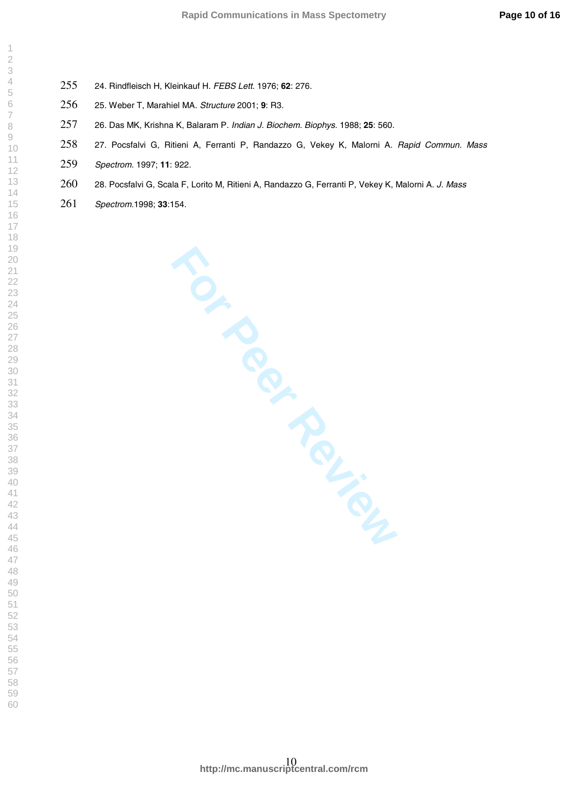- 24. Rindfleisch H, Kleinkauf H. FEBS Lett. 1976; **62**: 276.
- 25. Weber T, Marahiel MA. Structure 2001; **9**: R3 .
- 26. Das MK, Krishna K, Balaram P. Indian J. Biochem. Biophys . 1988; **25**: 560 .
- 258 27. Pocsfalvi G, Ritieni A, Ferranti P, Randazzo G, Vekey K, Malorni A. Rapid Commun. Mass
- Spectrom. 1997; **11**: 922 .
- 260 28. Pocsfalvi G, Scala F, Lorito M, Ritieni A, Randazzo G, Ferranti P, Vekey K, Malorni A. J. Mass
- Spectrom.1998; **33** :154 .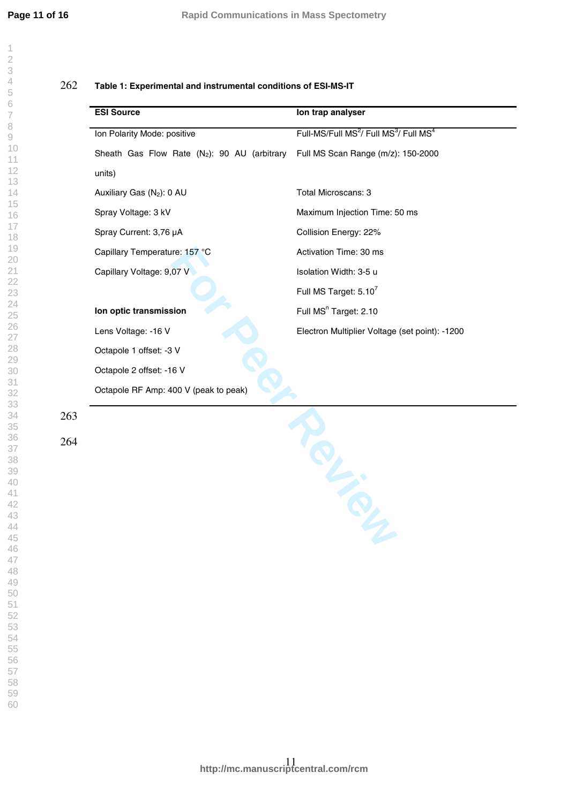$\overline{\phantom{a}}$  $\overline{2}$ 

| <b>ESI Source</b>                                        | Ion trap analyser                                                          |
|----------------------------------------------------------|----------------------------------------------------------------------------|
| Ion Polarity Mode: positive                              | Full-MS/Full MS <sup>2</sup> / Full MS <sup>3</sup> / Full MS <sup>4</sup> |
| Sheath Gas Flow Rate (N <sub>2</sub> ): 90 AU (arbitrary | Full MS Scan Range (m/z): 150-2000                                         |
| units)                                                   |                                                                            |
| Auxiliary Gas (N <sub>2</sub> ): 0 AU                    | Total Microscans: 3                                                        |
| Spray Voltage: 3 kV                                      | Maximum Injection Time: 50 ms                                              |
| Spray Current: 3,76 µA                                   | Collision Energy: 22%                                                      |
| Capillary Temperature: 157 °C                            | Activation Time: 30 ms                                                     |
| Capillary Voltage: 9,07 V                                | Isolation Width: 3-5 u                                                     |
|                                                          | Full MS Target: 5.10 <sup>7</sup>                                          |
| Ion optic transmission                                   | Full MS <sup>n</sup> Target: 2.10                                          |
| Lens Voltage: - 16 V                                     | Electron Multiplier Voltage (set point): -1200                             |
| Octapole 1 offset: -3 V                                  |                                                                            |
| Octapole 2 offset: -16 V                                 |                                                                            |
| Octapole RF Amp: 400 V (peak to peak)                    |                                                                            |
|                                                          |                                                                            |
|                                                          |                                                                            |
|                                                          |                                                                            |
|                                                          | <b>PL.</b>                                                                 |
|                                                          |                                                                            |
|                                                          |                                                                            |
|                                                          |                                                                            |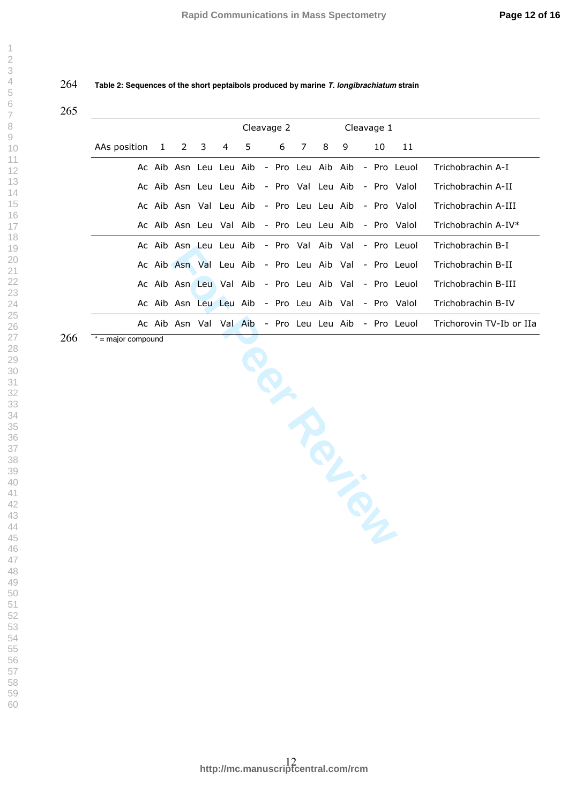**Table 2: Sequences of the short peptaibols produced by marine T. longibrachiatum strain**

### 

 $\overline{\phantom{a}}$  $\overline{2}$  $\overline{4}$  $\overline{7}$  $\mathcal{G}$ 

|              |              |                        | Cleavage 2  |                |         |  |   |                | Cleavage 1        |  |  |    |                                                      |                          |
|--------------|--------------|------------------------|-------------|----------------|---------|--|---|----------------|-------------------|--|--|----|------------------------------------------------------|--------------------------|
| AAs position | $\mathbf{1}$ |                        | $2 \quad 3$ | $\overline{4}$ | 5.      |  | 6 | $\overline{7}$ | 89                |  |  | 10 | 11                                                   |                          |
|              |              |                        |             |                |         |  |   |                |                   |  |  |    | Ac Aib Asn Leu Leu Aib - Pro Leu Aib Aib - Pro Leuol | Trichobrachin A-I        |
|              |              |                        |             |                |         |  |   |                |                   |  |  |    | Ac Aib Asn Leu Leu Aib - Pro Val Leu Aib - Pro Valol | Trichobrachin A-II       |
|              |              |                        |             |                |         |  |   |                |                   |  |  |    | Ac Aib Asn Val Leu Aib - Pro Leu Leu Aib - Pro Valol | Trichobrachin A-III      |
|              |              |                        |             |                |         |  |   |                |                   |  |  |    | Ac Aib Asn Leu Val Aib - Pro Leu Leu Aib - Pro Valol | Trichobrachin A-IV*      |
|              |              | Ac Aib Asn Leu Leu Aib |             |                |         |  |   |                | - Pro Val Aib Val |  |  |    | - Pro Leuol                                          | Trichobrachin B-I        |
|              |              |                        |             |                |         |  |   |                |                   |  |  |    | Ac Aib Asn Val Leu Aib - Pro Leu Aib Val - Pro Leuol | Trichobrachin B-II       |
|              |              |                        |             |                |         |  |   |                |                   |  |  |    | Ac Aib Asn Leu Val Aib - Pro Leu Aib Val - Pro Leuol | Trichobrachin B-III      |
|              |              |                        |             |                |         |  |   |                |                   |  |  |    | Ac Aib Asn Leu Leu Aib - Pro Leu Aib Val - Pro Valol | Trichobrachin B-IV       |
|              |              | Ac Aib Asn Val         |             |                | Val Aib |  |   |                |                   |  |  |    | - Pro Leu Leu Aib - Pro Leuol                        | Trichorovin TV-Ib or IIa |

\* = major compound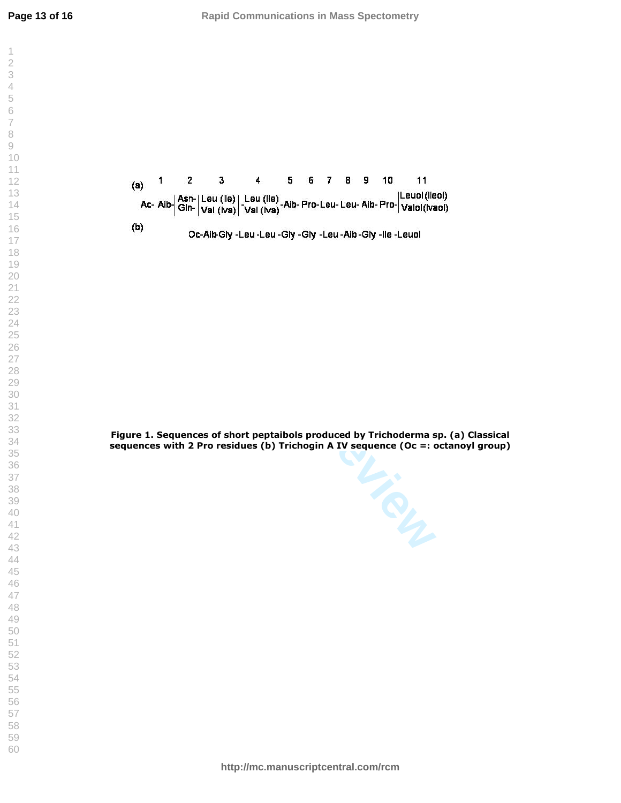$\mathcal{L}$  $\overline{2}$  $\overline{\mathcal{A}}$  $\overline{7}$  $\,8\,$  $\rm{O}$ 



**Figure 1. Sequences of short peptaibols produced by Trichoderma sp. (a) Classical sequences with 2 Pro residues (b) Trichogin A IV sequence (Oc =: octanoyl group)** 

Oc-Alb-Gly -Leu -Leu -Gly -Gly -Leu -Alb -Gly -lle -Leuol<br>
review -Leu -Gly -Cly -Leu -Alb -Gly -lle -Leuol<br>
1<br>
The Peer Review of Short peptaibols produced by Trichoderma sp. (<br>
2<br>
Pro residues (b) Trichogin A IV sequence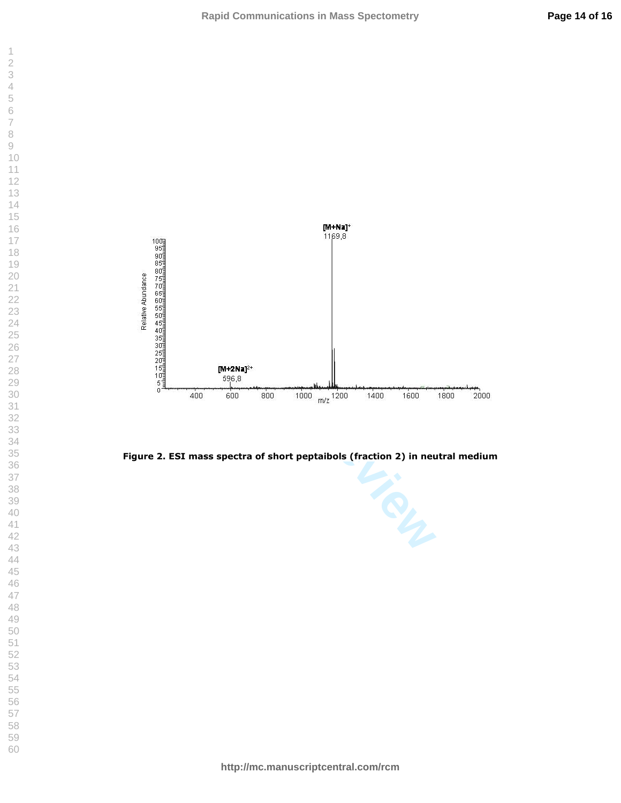



 $\overline{\phantom{a}}$  $\overline{2}$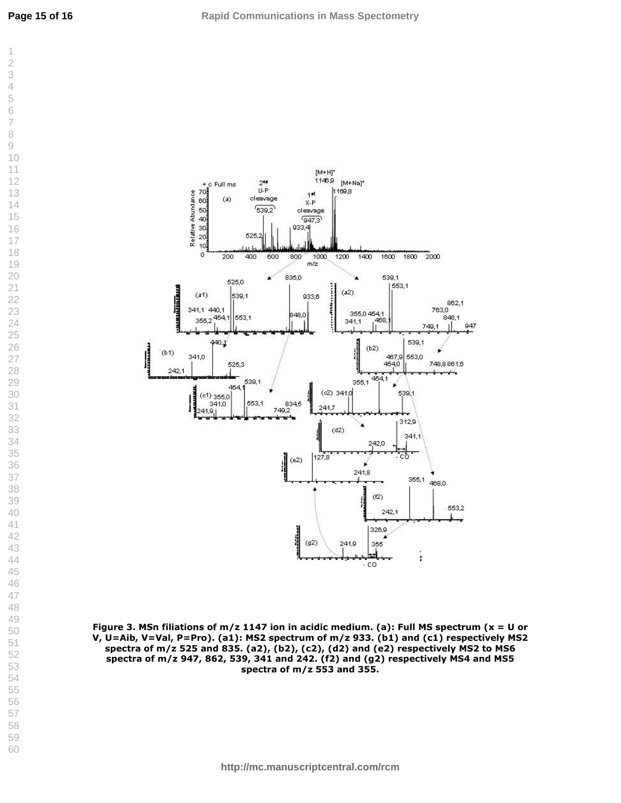

**Figure 3. MSn filiations of m/z 1147 ion in acidic medium. (a): Full MS spectrum (x = U or V, U=Aib, V=Val, P=Pro). (a1): MS2 spectrum of m/z 933. (b1) and (c1) respectively MS2 spectra of m/z 525 and 835. (a2), (b2), (c2), (d2) and (e2) respectively MS2 to MS6 spectra of m/z 947, 862, 539, 341 and 242. (f2) and (g2) respectively MS4 and MS5 spectra of m/z 553 and 355.**